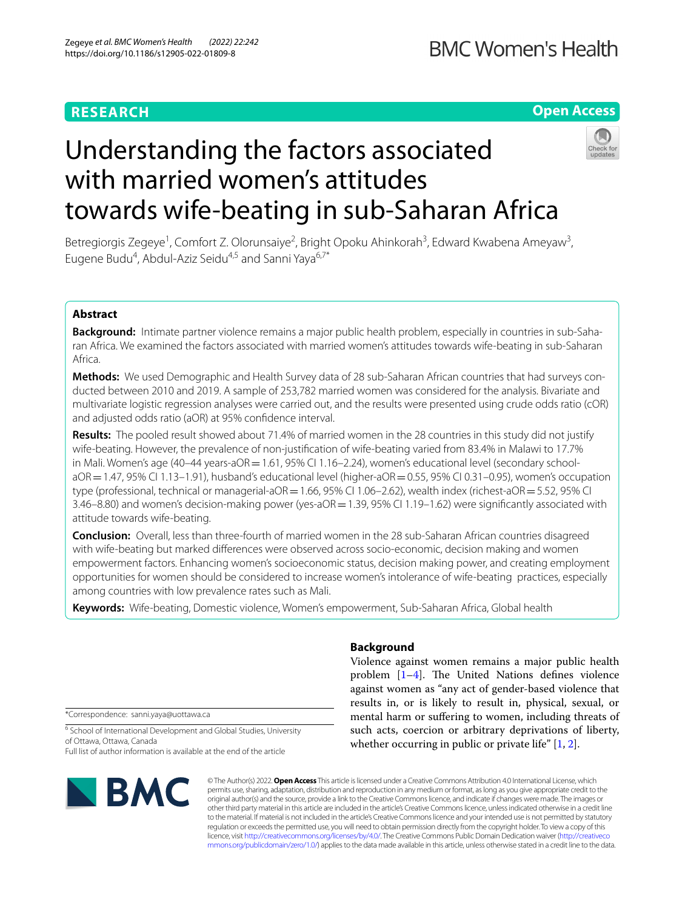## **RESEARCH**

## **BMC Women's Health**

## **Open Access**

# Understanding the factors associated with married women's attitudes towards wife-beating in sub-Saharan Africa

Betregiorgis Zegeye<sup>1</sup>, Comfort Z. Olorunsaiye<sup>2</sup>, Bright Opoku Ahinkorah<sup>3</sup>, Edward Kwabena Ameyaw<sup>3</sup>, Eugene Budu<sup>4</sup>, Abdul-Aziz Seidu<sup>4,5</sup> and Sanni Yaya<sup>6,7\*</sup>

## **Abstract**

Background: Intimate partner violence remains a major public health problem, especially in countries in sub-Saharan Africa. We examined the factors associated with married women's attitudes towards wife-beating in sub-Saharan Africa.

Methods: We used Demographic and Health Survey data of 28 sub-Saharan African countries that had surveys conducted between 2010 and 2019. A sample of 253,782 married women was considered for the analysis. Bivariate and multivariate logistic regression analyses were carried out, and the results were presented using crude odds ratio (cOR) and adjusted odds ratio (aOR) at 95% confdence interval.

**Results:** The pooled result showed about 71.4% of married women in the 28 countries in this study did not justify wife-beating. However, the prevalence of non-justifcation of wife-beating varied from 83.4% in Malawi to 17.7% in Mali. Women's age (40-44 years-aOR = 1.61, 95% CI 1.16-2.24), women's educational level (secondary schoolaOR = 1.47, 95% CI 1.13–1.91), husband's educational level (higher-aOR = 0.55, 95% CI 0.31-0.95), women's occupation type (professional, technical or managerial-aOR = 1.66, 95% CI 1.06–2.62), wealth index (richest-aOR = 5.52, 95% CI 3.46–8.80) and women's decision-making power (yes-aOR=1.39, 95% CI 1.19–1.62) were signifcantly associated with attitude towards wife-beating.

**Conclusion:** Overall, less than three-fourth of married women in the 28 sub-Saharan African countries disagreed with wife-beating but marked diferences were observed across socio-economic, decision making and women empowerment factors. Enhancing women's socioeconomic status, decision making power, and creating employment opportunities for women should be considered to increase women's intolerance of wife-beating practices, especially among countries with low prevalence rates such as Mali.

**Keywords:** Wife-beating, Domestic violence, Women's empowerment, Sub-Saharan Africa, Global health

\*Correspondence: sanni.yaya@uottawa.ca

<sup>6</sup> School of International Development and Global Studies, University of Ottawa, Ottawa, Canada

Full list of author information is available at the end of the article



## **Background**

Violence against women remains a major public health problem  $[1-4]$  $[1-4]$  $[1-4]$ . The United Nations defines violence against women as "any act of gender-based violence that results in, or is likely to result in, physical, sexual, or mental harm or sufering to women, including threats of such acts, coercion or arbitrary deprivations of liberty, whether occurring in public or private life" [[1](#page-9-0), [2\]](#page-9-2).

© The Author(s) 2022. **Open Access** This article is licensed under a Creative Commons Attribution 4.0 International License, which permits use, sharing, adaptation, distribution and reproduction in any medium or format, as long as you give appropriate credit to the original author(s) and the source, provide a link to the Creative Commons licence, and indicate if changes were made. The images or other third party material in this article are included in the article's Creative Commons licence, unless indicated otherwise in a credit line to the material. If material is not included in the article's Creative Commons licence and your intended use is not permitted by statutory regulation or exceeds the permitted use, you will need to obtain permission directly from the copyright holder. To view a copy of this licence, visit [http://creativecommons.org/licenses/by/4.0/.](http://creativecommons.org/licenses/by/4.0/) The Creative Commons Public Domain Dedication waiver ([http://creativeco](http://creativecommons.org/publicdomain/zero/1.0/) [mmons.org/publicdomain/zero/1.0/](http://creativecommons.org/publicdomain/zero/1.0/)) applies to the data made available in this article, unless otherwise stated in a credit line to the data.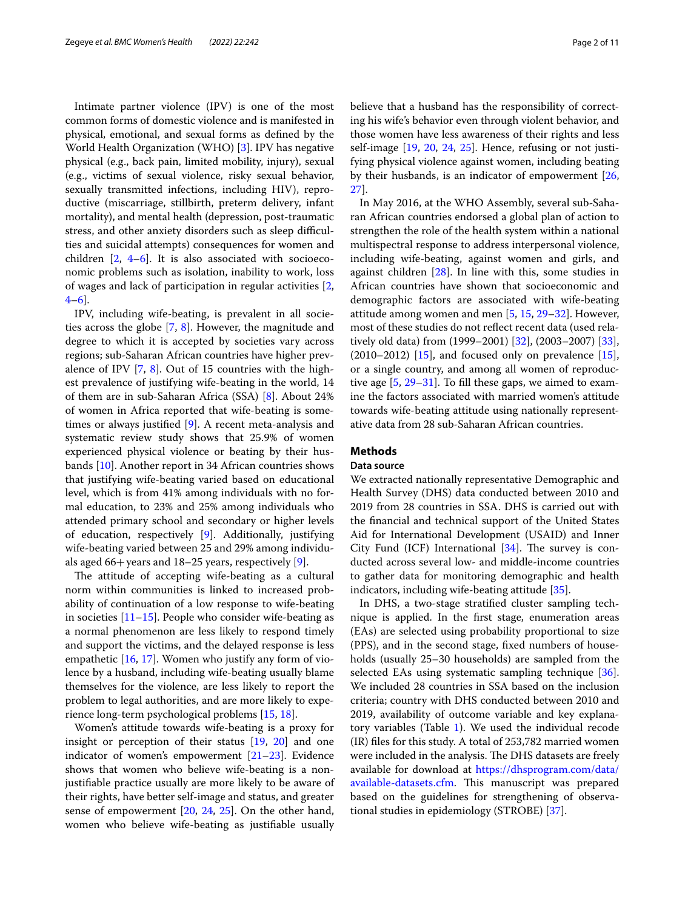Intimate partner violence (IPV) is one of the most common forms of domestic violence and is manifested in physical, emotional, and sexual forms as defned by the World Health Organization (WHO) [\[3](#page-9-3)]. IPV has negative physical (e.g., back pain, limited mobility, injury), sexual (e.g., victims of sexual violence, risky sexual behavior, sexually transmitted infections, including HIV), reproductive (miscarriage, stillbirth, preterm delivery, infant mortality), and mental health (depression, post-traumatic stress, and other anxiety disorders such as sleep difficulties and suicidal attempts) consequences for women and children  $[2, 4-6]$  $[2, 4-6]$  $[2, 4-6]$  $[2, 4-6]$ . It is also associated with socioeconomic problems such as isolation, inability to work, loss of wages and lack of participation in regular activities [\[2](#page-9-2),  $4-6$  $4-6$ ].

IPV, including wife-beating, is prevalent in all societies across the globe [\[7](#page-9-5), [8](#page-9-6)]. However, the magnitude and degree to which it is accepted by societies vary across regions; sub-Saharan African countries have higher prevalence of IPV [[7,](#page-9-5) [8](#page-9-6)]. Out of 15 countries with the highest prevalence of justifying wife-beating in the world, 14 of them are in sub-Saharan Africa (SSA) [\[8](#page-9-6)]. About 24% of women in Africa reported that wife-beating is sometimes or always justifed [[9\]](#page-9-7). A recent meta-analysis and systematic review study shows that 25.9% of women experienced physical violence or beating by their husbands [\[10](#page-9-8)]. Another report in 34 African countries shows that justifying wife-beating varied based on educational level, which is from 41% among individuals with no formal education, to 23% and 25% among individuals who attended primary school and secondary or higher levels of education, respectively [\[9](#page-9-7)]. Additionally, justifying wife-beating varied between 25 and 29% among individuals aged 66+years and 18–25 years, respectively [\[9](#page-9-7)].

The attitude of accepting wife-beating as a cultural norm within communities is linked to increased probability of continuation of a low response to wife-beating in societies [[11–](#page-9-9)[15\]](#page-9-10). People who consider wife-beating as a normal phenomenon are less likely to respond timely and support the victims, and the delayed response is less empathetic [\[16](#page-9-11), [17\]](#page-9-12). Women who justify any form of violence by a husband, including wife-beating usually blame themselves for the violence, are less likely to report the problem to legal authorities, and are more likely to experience long-term psychological problems [\[15](#page-9-10), [18](#page-9-13)].

Women's attitude towards wife-beating is a proxy for insight or perception of their status [[19,](#page-9-14) [20\]](#page-9-15) and one indicator of women's empowerment  $[21-23]$  $[21-23]$ . Evidence shows that women who believe wife-beating is a nonjustifable practice usually are more likely to be aware of their rights, have better self-image and status, and greater sense of empowerment [[20,](#page-9-15) [24](#page-9-18), [25\]](#page-9-19). On the other hand, women who believe wife-beating as justifable usually believe that a husband has the responsibility of correcting his wife's behavior even through violent behavior, and those women have less awareness of their rights and less self-image [\[19](#page-9-14), [20,](#page-9-15) [24](#page-9-18), [25\]](#page-9-19). Hence, refusing or not justifying physical violence against women, including beating by their husbands, is an indicator of empowerment [[26](#page-9-20), [27\]](#page-9-21).

In May 2016, at the WHO Assembly, several sub-Saharan African countries endorsed a global plan of action to strengthen the role of the health system within a national multispectral response to address interpersonal violence, including wife-beating, against women and girls, and against children  $[28]$  $[28]$ . In line with this, some studies in African countries have shown that socioeconomic and demographic factors are associated with wife-beating attitude among women and men [[5,](#page-9-23) [15](#page-9-10), [29](#page-9-24)[–32](#page-9-25)]. However, most of these studies do not refect recent data (used relatively old data) from (1999–2001) [\[32\]](#page-9-25), (2003–2007) [\[33](#page-10-0)],  $(2010–2012)$  [\[15](#page-9-10)], and focused only on prevalence [15], or a single country, and among all women of reproduc-tive age [[5,](#page-9-23) 29-[31](#page-9-26)]. To fill these gaps, we aimed to examine the factors associated with married women's attitude towards wife-beating attitude using nationally representative data from 28 sub-Saharan African countries.

## **Methods**

## **Data source**

We extracted nationally representative Demographic and Health Survey (DHS) data conducted between 2010 and 2019 from 28 countries in SSA. DHS is carried out with the fnancial and technical support of the United States Aid for International Development (USAID) and Inner City Fund (ICF) International  $[34]$  $[34]$ . The survey is conducted across several low- and middle-income countries to gather data for monitoring demographic and health indicators, including wife-beating attitude [\[35](#page-10-2)].

In DHS, a two-stage stratifed cluster sampling technique is applied. In the frst stage, enumeration areas (EAs) are selected using probability proportional to size (PPS), and in the second stage, fxed numbers of households (usually 25–30 households) are sampled from the selected EAs using systematic sampling technique [\[36](#page-10-3)]. We included 28 countries in SSA based on the inclusion criteria; country with DHS conducted between 2010 and 2019, availability of outcome variable and key explanatory variables (Table [1\)](#page-2-0). We used the individual recode (IR) fles for this study. A total of 253,782 married women were included in the analysis. The DHS datasets are freely available for download at [https://dhsprogram.com/data/](https://dhsprogram.com/data/available-datasets.cfm) [available-datasets.cfm.](https://dhsprogram.com/data/available-datasets.cfm) This manuscript was prepared based on the guidelines for strengthening of observational studies in epidemiology (STROBE) [[37\]](#page-10-4).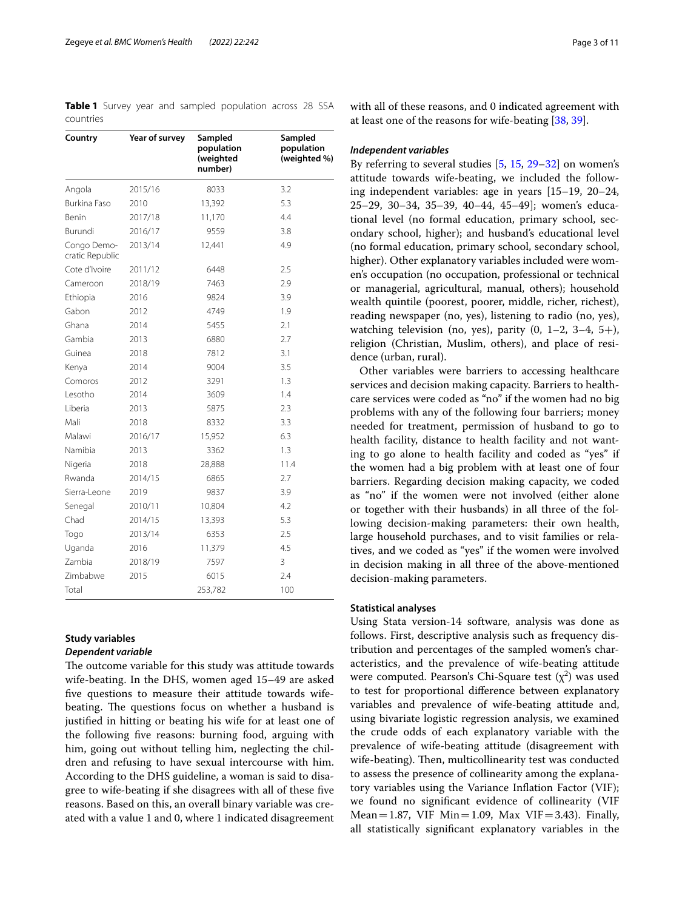<span id="page-2-0"></span>**Table 1** Survey year and sampled population across 28 SSA countries

| Country                        | Year of survey | Sampled<br>population<br>(weighted<br>number) | Sampled<br>population<br>(weighted %) |
|--------------------------------|----------------|-----------------------------------------------|---------------------------------------|
| Angola                         | 2015/16        | 8033                                          | 3.2                                   |
| Burkina Faso                   | 2010           | 13,392                                        | 5.3                                   |
| <b>Benin</b>                   | 2017/18        | 11,170                                        | 4.4                                   |
| Burundi                        | 2016/17        | 9559                                          | 3.8                                   |
| Congo Demo-<br>cratic Republic | 2013/14        | 12,441                                        | 4.9                                   |
| Cote d'Ivoire                  | 2011/12        | 6448                                          | 2.5                                   |
| Cameroon                       | 2018/19        | 7463                                          | 2.9                                   |
| Ethiopia                       | 2016           | 9824                                          | 3.9                                   |
| Gabon                          | 2012           | 4749                                          | 1.9                                   |
| Ghana                          | 2014           | 5455                                          | 2.1                                   |
| Gambia                         | 2013           | 6880                                          | 2.7                                   |
| Guinea                         | 2018           | 7812                                          | 3.1                                   |
| Kenya                          | 2014           | 9004                                          | 3.5                                   |
| Comoros                        | 2012           | 3291                                          | 1.3                                   |
| Lesotho                        | 2014           | 3609                                          | 1.4                                   |
| Liberia                        | 2013           | 5875                                          | 2.3                                   |
| Mali                           | 2018           | 8332                                          | 3.3                                   |
| Malawi                         | 2016/17        | 15,952                                        | 6.3                                   |
| Namibia                        | 2013           | 3362                                          | 1.3                                   |
| Nigeria                        | 2018           | 28,888                                        | 11.4                                  |
| Rwanda                         | 2014/15        | 6865                                          | 2.7                                   |
| Sierra-Leone                   | 2019           | 9837                                          | 3.9                                   |
| Senegal                        | 2010/11        | 10,804                                        | 4.2                                   |
| Chad                           | 2014/15        | 13,393                                        | 5.3                                   |
| Togo                           | 2013/14        | 6353                                          | 2.5                                   |
| Uganda                         | 2016           | 11,379                                        | 4.5                                   |
| Zambia                         | 2018/19        | 7597                                          | 3                                     |
| Zimbabwe                       | 2015           | 6015                                          | 2.4                                   |
| Total                          |                | 253,782                                       | 100                                   |

## **Study variables**

## *Dependent variable*

The outcome variable for this study was attitude towards wife-beating. In the DHS, women aged 15–49 are asked fve questions to measure their attitude towards wifebeating. The questions focus on whether a husband is justifed in hitting or beating his wife for at least one of the following fve reasons: burning food, arguing with him, going out without telling him, neglecting the children and refusing to have sexual intercourse with him. According to the DHS guideline, a woman is said to disagree to wife-beating if she disagrees with all of these fve reasons. Based on this, an overall binary variable was created with a value 1 and 0, where 1 indicated disagreement with all of these reasons, and 0 indicated agreement with at least one of the reasons for wife-beating [[38](#page-10-5), [39\]](#page-10-6).

## *Independent variables*

By referring to several studies [[5](#page-9-23), [15](#page-9-10), [29](#page-9-24)[–32](#page-9-25)] on women's attitude towards wife-beating, we included the following independent variables: age in years [15–19, 20–24, 25–29, 30–34, 35–39, 40–44, 45–49]; women's educational level (no formal education, primary school, secondary school, higher); and husband's educational level (no formal education, primary school, secondary school, higher). Other explanatory variables included were women's occupation (no occupation, professional or technical or managerial, agricultural, manual, others); household wealth quintile (poorest, poorer, middle, richer, richest), reading newspaper (no, yes), listening to radio (no, yes), watching television (no, yes), parity  $(0, 1-2, 3-4, 5+)$ , religion (Christian, Muslim, others), and place of residence (urban, rural).

Other variables were barriers to accessing healthcare services and decision making capacity. Barriers to healthcare services were coded as "no" if the women had no big problems with any of the following four barriers; money needed for treatment, permission of husband to go to health facility, distance to health facility and not wanting to go alone to health facility and coded as "yes" if the women had a big problem with at least one of four barriers. Regarding decision making capacity, we coded as "no" if the women were not involved (either alone or together with their husbands) in all three of the following decision-making parameters: their own health, large household purchases, and to visit families or relatives, and we coded as "yes" if the women were involved in decision making in all three of the above-mentioned decision-making parameters.

## **Statistical analyses**

Using Stata version-14 software, analysis was done as follows. First, descriptive analysis such as frequency distribution and percentages of the sampled women's characteristics, and the prevalence of wife-beating attitude were computed. Pearson's Chi-Square test  $(\chi^2)$  was used to test for proportional diference between explanatory variables and prevalence of wife-beating attitude and, using bivariate logistic regression analysis, we examined the crude odds of each explanatory variable with the prevalence of wife-beating attitude (disagreement with wife-beating). Then, multicollinearity test was conducted to assess the presence of collinearity among the explanatory variables using the Variance Infation Factor (VIF); we found no signifcant evidence of collinearity (VIF Mean = 1.87, VIF Min = 1.09, Max VIF = 3.43). Finally, all statistically signifcant explanatory variables in the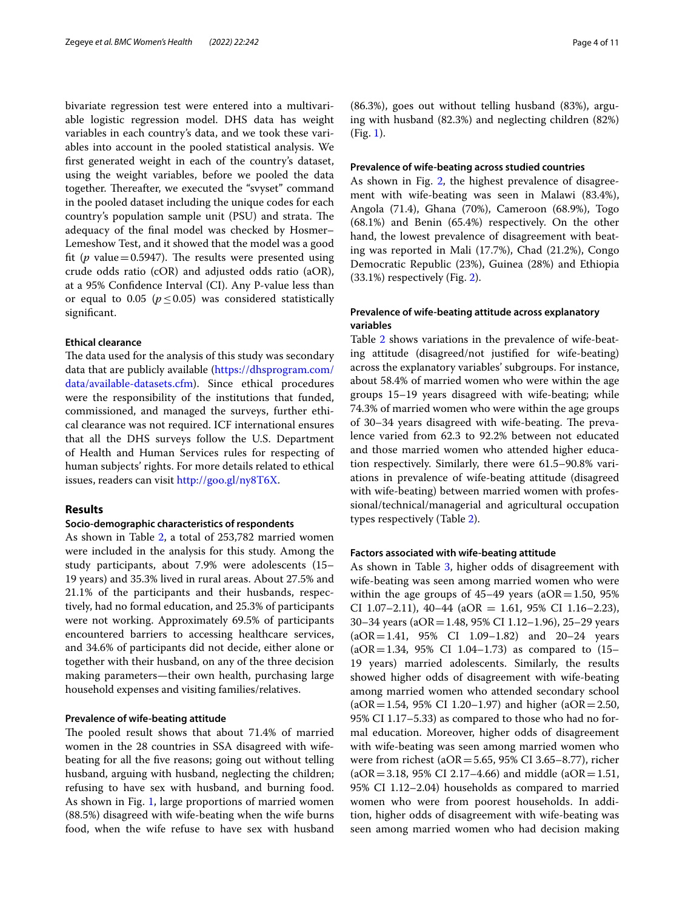bivariate regression test were entered into a multivariable logistic regression model. DHS data has weight variables in each country's data, and we took these variables into account in the pooled statistical analysis. We frst generated weight in each of the country's dataset, using the weight variables, before we pooled the data together. Thereafter, we executed the "svyset" command in the pooled dataset including the unique codes for each country's population sample unit (PSU) and strata. The adequacy of the fnal model was checked by Hosmer– Lemeshow Test, and it showed that the model was a good fit ( $p$  value=0.5947). The results were presented using crude odds ratio (cOR) and adjusted odds ratio (aOR), at a 95% Confdence Interval (CI). Any P-value less than or equal to 0.05 ( $p \le 0.05$ ) was considered statistically signifcant.

## **Ethical clearance**

The data used for the analysis of this study was secondary data that are publicly available ([https://dhsprogram.com/](https://dhsprogram.com/data/available-datasets.cfm) [data/available-datasets.cfm\)](https://dhsprogram.com/data/available-datasets.cfm). Since ethical procedures were the responsibility of the institutions that funded, commissioned, and managed the surveys, further ethical clearance was not required. ICF international ensures that all the DHS surveys follow the U.S. Department of Health and Human Services rules for respecting of human subjects' rights. For more details related to ethical issues, readers can visit <http://goo.gl/ny8T6X>.

## **Results**

## **Socio‑demographic characteristics of respondents**

As shown in Table [2,](#page-4-0) a total of 253,782 married women were included in the analysis for this study. Among the study participants, about 7.9% were adolescents (15– 19 years) and 35.3% lived in rural areas. About 27.5% and 21.1% of the participants and their husbands, respectively, had no formal education, and 25.3% of participants were not working. Approximately 69.5% of participants encountered barriers to accessing healthcare services, and 34.6% of participants did not decide, either alone or together with their husband, on any of the three decision making parameters—their own health, purchasing large household expenses and visiting families/relatives.

## **Prevalence of wife‑beating attitude**

The pooled result shows that about 71.4% of married women in the 28 countries in SSA disagreed with wifebeating for all the fve reasons; going out without telling husband, arguing with husband, neglecting the children; refusing to have sex with husband, and burning food. As shown in Fig. [1,](#page-5-0) large proportions of married women (88.5%) disagreed with wife-beating when the wife burns food, when the wife refuse to have sex with husband

(86.3%), goes out without telling husband (83%), arguing with husband (82.3%) and neglecting children (82%) (Fig. [1\)](#page-5-0).

## **Prevalence of wife‑beating across studied countries**

As shown in Fig. [2](#page-6-0), the highest prevalence of disagreement with wife-beating was seen in Malawi (83.4%), Angola (71.4), Ghana (70%), Cameroon (68.9%), Togo (68.1%) and Benin (65.4%) respectively. On the other hand, the lowest prevalence of disagreement with beating was reported in Mali (17.7%), Chad (21.2%), Congo Democratic Republic (23%), Guinea (28%) and Ethiopia (33.1%) respectively (Fig. [2](#page-6-0)).

## **Prevalence of wife‑beating attitude across explanatory variables**

Table [2](#page-4-0) shows variations in the prevalence of wife-beating attitude (disagreed/not justifed for wife-beating) across the explanatory variables' subgroups. For instance, about 58.4% of married women who were within the age groups 15–19 years disagreed with wife-beating; while 74.3% of married women who were within the age groups of 30–34 years disagreed with wife-beating. The prevalence varied from 62.3 to 92.2% between not educated and those married women who attended higher education respectively. Similarly, there were 61.5–90.8% variations in prevalence of wife-beating attitude (disagreed with wife-beating) between married women with professional/technical/managerial and agricultural occupation types respectively (Table [2](#page-4-0)).

## **Factors associated with wife‑beating attitude**

As shown in Table [3](#page-7-0), higher odds of disagreement with wife-beating was seen among married women who were within the age groups of  $45-49$  years (aOR=1.50, 95%) CI 1.07-2.11),  $40-44$  ( $aOR = 1.61$ , 95% CI 1.16-2.23), 30–34 years (aOR=1.48, 95% CI 1.12–1.96), 25–29 years  $(aOR = 1.41, 95\% \text{ CI } 1.09 - 1.82)$  and  $20 - 24$  years  $(aOR = 1.34, 95\% \text{ CI } 1.04 - 1.73)$  as compared to  $(15 -$ 19 years) married adolescents. Similarly, the results showed higher odds of disagreement with wife-beating among married women who attended secondary school  $(aOR = 1.54, 95\% \text{ CI } 1.20-1.97)$  and higher  $(aOR = 2.50, 1.54)$ 95% CI 1.17–5.33) as compared to those who had no formal education. Moreover, higher odds of disagreement with wife-beating was seen among married women who were from richest ( $aOR = 5.65$ , 95% CI 3.65–8.77), richer  $(aOR = 3.18, 95\% \text{ CI } 2.17 - 4.66)$  and middle  $(aOR = 1.51, 1.51)$ 95% CI 1.12–2.04) households as compared to married women who were from poorest households. In addition, higher odds of disagreement with wife-beating was seen among married women who had decision making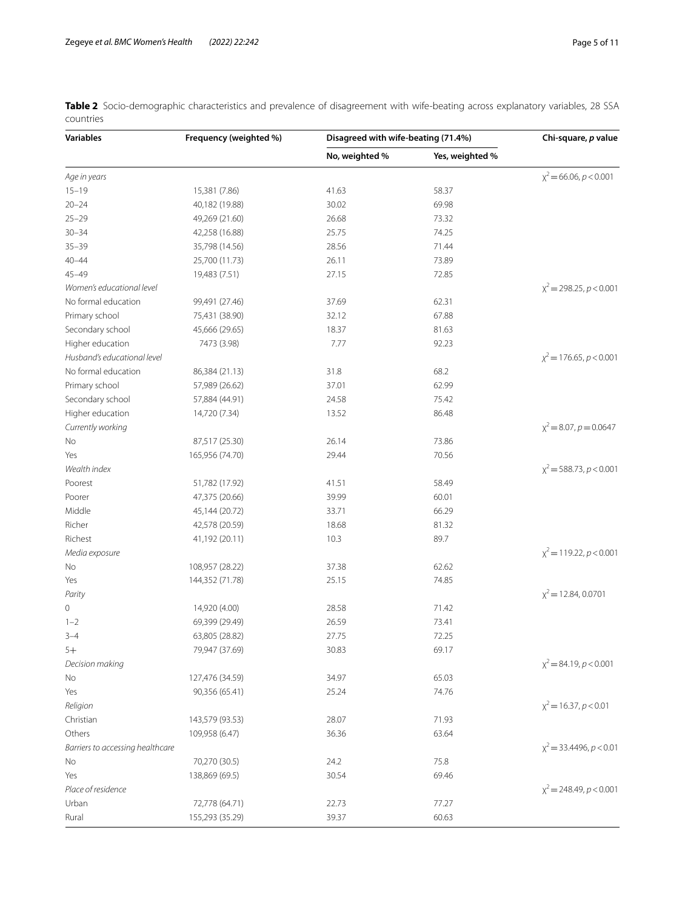<span id="page-4-0"></span>Table 2 Socio-demographic characteristics and prevalence of disagreement with wife-beating across explanatory variables, 28 SSA countries

| <b>Variables</b>                 | Frequency (weighted %) | Disagreed with wife-beating (71.4%) |                 | Chi-square, p value          |
|----------------------------------|------------------------|-------------------------------------|-----------------|------------------------------|
|                                  |                        | No, weighted %                      | Yes, weighted % |                              |
| Age in years                     |                        |                                     |                 | $x^2$ = 66.06, $p < 0.001$   |
| $15 - 19$                        | 15,381 (7.86)          | 41.63                               | 58.37           |                              |
| $20 - 24$                        | 40,182 (19.88)         | 30.02                               | 69.98           |                              |
| $25 - 29$                        | 49,269 (21.60)         | 26.68                               | 73.32           |                              |
| $30 - 34$                        | 42,258 (16.88)         | 25.75                               | 74.25           |                              |
| $35 - 39$                        | 35,798 (14.56)         | 28.56                               | 71.44           |                              |
| $40 - 44$                        | 25,700 (11.73)         | 26.11                               | 73.89           |                              |
| $45 - 49$                        | 19,483 (7.51)          | 27.15                               | 72.85           |                              |
| Women's educational level        |                        |                                     |                 | $x^2$ = 298.25, $p < 0.001$  |
| No formal education              | 99,491 (27.46)         | 37.69                               | 62.31           |                              |
| Primary school                   | 75,431 (38.90)         | 32.12                               | 67.88           |                              |
| Secondary school                 | 45,666 (29.65)         | 18.37                               | 81.63           |                              |
| Higher education                 | 7473 (3.98)            | 7.77                                | 92.23           |                              |
| Husband's educational level      |                        |                                     |                 | $\chi^2$ = 176.65, p < 0.001 |
| No formal education              | 86,384 (21.13)         | 31.8                                | 68.2            |                              |
| Primary school                   | 57,989 (26.62)         | 37.01                               | 62.99           |                              |
| Secondary school                 | 57,884 (44.91)         | 24.58                               | 75.42           |                              |
| Higher education                 | 14,720 (7.34)          | 13.52                               | 86.48           |                              |
| Currently working                |                        |                                     |                 | $x^2 = 8.07$ , $p = 0.0647$  |
| No                               | 87,517 (25.30)         | 26.14                               | 73.86           |                              |
| Yes                              | 165,956 (74.70)        | 29.44                               | 70.56           |                              |
| Wealth index                     |                        |                                     |                 | $x^2$ = 588.73, $p < 0.001$  |
| Poorest                          | 51,782 (17.92)         | 41.51                               | 58.49           |                              |
| Poorer                           | 47,375 (20.66)         | 39.99                               | 60.01           |                              |
| Middle                           | 45,144 (20.72)         | 33.71                               | 66.29           |                              |
| Richer                           | 42,578 (20.59)         | 18.68                               | 81.32           |                              |
|                                  |                        |                                     |                 |                              |
| Richest                          | 41,192 (20.11)         | 10.3                                | 89.7            | $x^2$ = 119.22, $p < 0.001$  |
| Media exposure                   |                        |                                     |                 |                              |
| No                               | 108,957 (28.22)        | 37.38                               | 62.62           |                              |
| Yes                              | 144,352 (71.78)        | 25.15                               | 74.85           |                              |
| Parity                           |                        |                                     |                 | $\chi^2$ = 12.84, 0.0701     |
| 0                                | 14,920 (4.00)          | 28.58                               | 71.42           |                              |
| $1 - 2$                          | 69,399 (29.49)         | 26.59                               | 73.41           |                              |
| $3 - 4$                          | 63,805 (28.82)         | 27.75                               | 72.25           |                              |
| $5+$                             | 79,947 (37.69)         | 30.83                               | 69.17           |                              |
| Decision making                  |                        |                                     |                 | $x^2 = 84.19$ , $p < 0.001$  |
| No                               | 127,476 (34.59)        | 34.97                               | 65.03           |                              |
| Yes                              | 90,356 (65.41)         | 25.24                               | 74.76           |                              |
| Religion                         |                        |                                     |                 | $\chi^2$ = 16.37, p < 0.01   |
| Christian                        | 143,579 (93.53)        | 28.07                               | 71.93           |                              |
| Others                           | 109,958 (6.47)         | 36.36                               | 63.64           |                              |
| Barriers to accessing healthcare |                        |                                     |                 | $\chi^2$ = 33.4496, p < 0.01 |
| No                               | 70,270 (30.5)          | 24.2                                | 75.8            |                              |
| Yes                              | 138,869 (69.5)         | 30.54                               | 69.46           |                              |
| Place of residence               |                        |                                     |                 | $\chi^2$ = 248.49, p < 0.001 |
| Urban                            | 72,778 (64.71)         | 22.73                               | 77.27           |                              |
| Rural                            | 155,293 (35.29)        | 39.37                               | 60.63           |                              |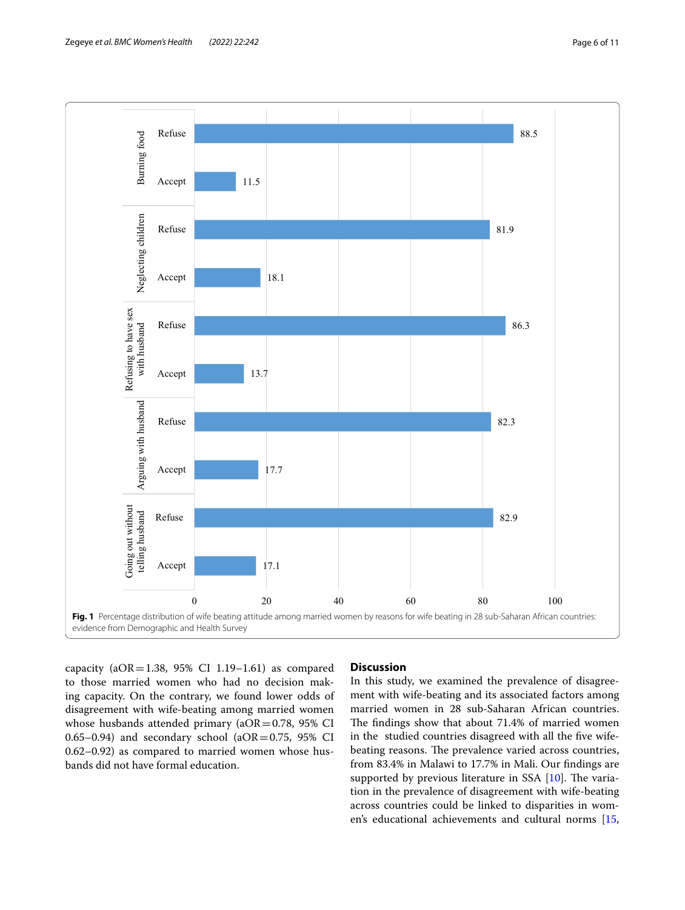

<span id="page-5-0"></span>capacity ( $aOR = 1.38$ ,  $95\%$  CI 1.19-1.61) as compared to those married women who had no decision making capacity. On the contrary, we found lower odds of disagreement with wife-beating among married women whose husbands attended primary ( $aOR = 0.78$ , 95% CI 0.65–0.94) and secondary school ( $aOR = 0.75$ , 95% CI 0.62–0.92) as compared to married women whose husbands did not have formal education.

## **Discussion**

In this study, we examined the prevalence of disagreement with wife-beating and its associated factors among married women in 28 sub-Saharan African countries. The findings show that about 71.4% of married women in the studied countries disagreed with all the fve wifebeating reasons. The prevalence varied across countries, from 83.4% in Malawi to 17.7% in Mali. Our fndings are supported by previous literature in SSA  $[10]$  $[10]$  $[10]$ . The variation in the prevalence of disagreement with wife-beating across countries could be linked to disparities in women's educational achievements and cultural norms [[15](#page-9-10),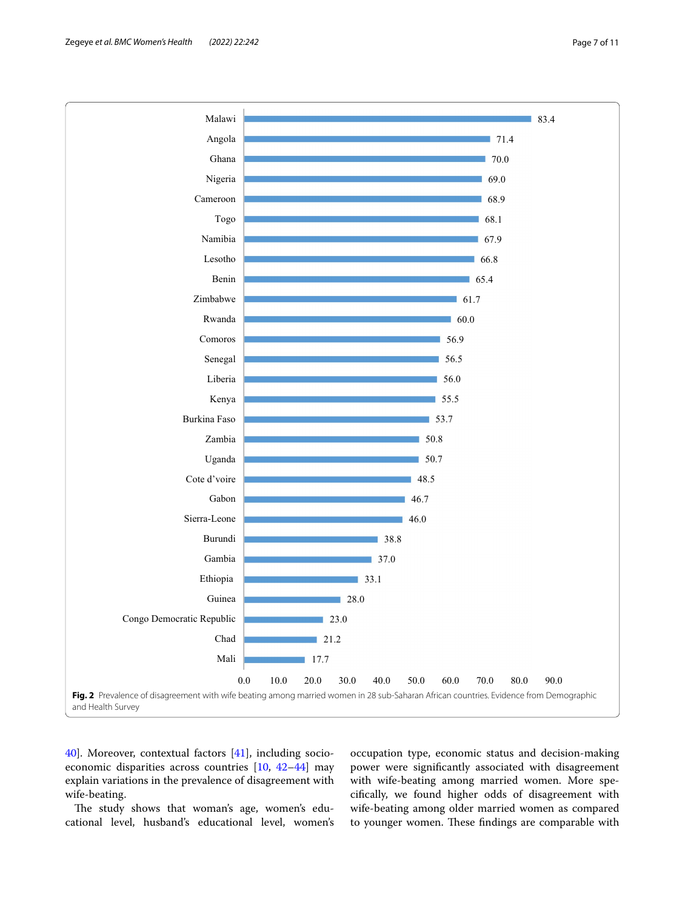

<span id="page-6-0"></span>[40\]](#page-10-7). Moreover, contextual factors [[41\]](#page-10-8), including socioeconomic disparities across countries [[10,](#page-9-8) [42](#page-10-9)–[44\]](#page-10-10) may explain variations in the prevalence of disagreement with wife-beating.

The study shows that woman's age, women's educational level, husband's educational level, women's occupation type, economic status and decision-making power were signifcantly associated with disagreement with wife-beating among married women. More specifcally, we found higher odds of disagreement with wife-beating among older married women as compared to younger women. These findings are comparable with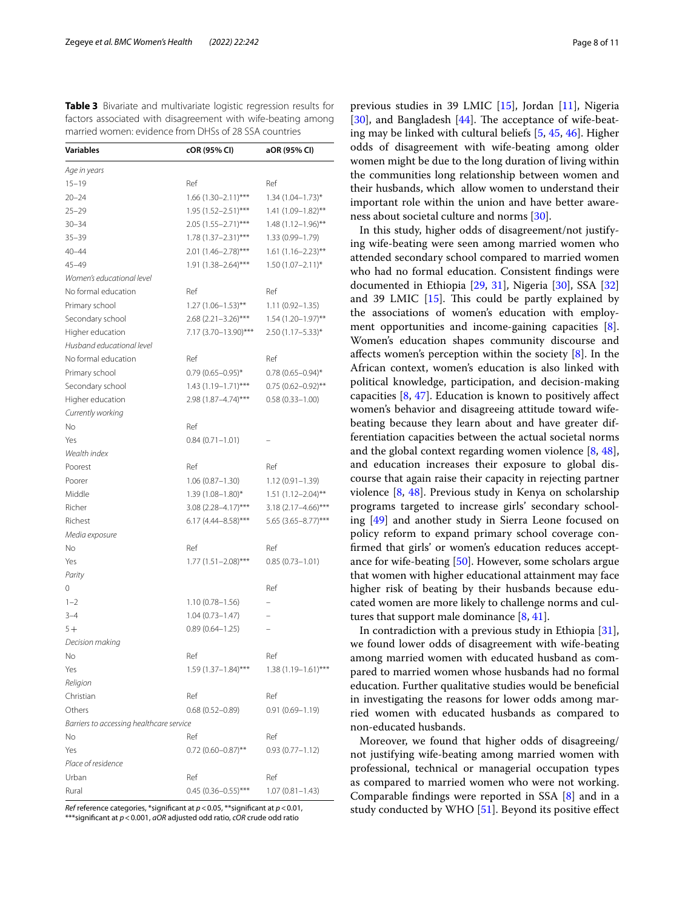<span id="page-7-0"></span>**Table 3** Bivariate and multivariate logistic regression results for factors associated with disagreement with wife-beating among married women: evidence from DHSs of 28 SSA countries

| Variables                                | cOR (95% CI)            | aOR (95% CI)            |  |  |  |
|------------------------------------------|-------------------------|-------------------------|--|--|--|
| Age in years                             |                         |                         |  |  |  |
| $15 - 19$                                | Ref                     | Ref                     |  |  |  |
| $20 - 24$                                | $1.66(1.30 - 2.11)$ *** | $1.34(1.04 - 1.73)^*$   |  |  |  |
| $25 - 29$                                | $1.95(1.52 - 2.51)$ *** | 1.41 (1.09-1.82)**      |  |  |  |
| $30 - 34$                                | $2.05(1.55 - 2.71)$ *** | $1.48(1.12 - 1.96)$ **  |  |  |  |
| $35 - 39$                                | $1.78(1.37 - 2.31)$ *** | 1.33 (0.99-1.79)        |  |  |  |
| $40 - 44$                                | 2.01 (1.46-2.78)***     | $1.61(1.16 - 2.23)$ **  |  |  |  |
| $45 - 49$                                | $1.91(1.38 - 2.64)$ *** | $1.50(1.07 - 2.11)^*$   |  |  |  |
| Women's educational level                |                         |                         |  |  |  |
| No formal education                      | Ref                     | Ref                     |  |  |  |
| Primary school                           | $1.27(1.06 - 1.53)$ **  | $1.11(0.92 - 1.35)$     |  |  |  |
| Secondary school                         | $2.68$ (2.21-3.26)***   | $1.54(1.20-1.97)$ **    |  |  |  |
| Higher education                         | 7.17 (3.70-13.90)***    | $2.50(1.17 - 5.33)^*$   |  |  |  |
| Husband educational level                |                         |                         |  |  |  |
| No formal education                      | Ref                     | Ref                     |  |  |  |
| Primary school                           | $0.79(0.65 - 0.95)^*$   | $0.78(0.65 - 0.94)^*$   |  |  |  |
| Secondary school                         | $1.43(1.19-1.71)$ ***   | $0.75(0.62 - 0.92)$ **  |  |  |  |
| Higher education                         | 2.98 (1.87-4.74)***     | $0.58(0.33 - 1.00)$     |  |  |  |
| Currently working                        |                         |                         |  |  |  |
| No                                       | Ref                     |                         |  |  |  |
| Yes                                      | $0.84(0.71 - 1.01)$     |                         |  |  |  |
| Wealth index                             |                         |                         |  |  |  |
| Poorest                                  | Ref                     | Ref                     |  |  |  |
| Poorer                                   | $1.06(0.87 - 1.30)$     | $1.12(0.91 - 1.39)$     |  |  |  |
| Middle                                   | 1.39 (1.08–1.80)*       | $1.51(1.12 - 2.04)$ **  |  |  |  |
| Richer                                   | $3.08(2.28 - 4.17)$ *** | $3.18(2.17 - 4.66)$ *** |  |  |  |
| Richest                                  | $6.17(4.44 - 8.58)$ *** | $5.65$ (3.65-8.77)***   |  |  |  |
| Media exposure                           |                         |                         |  |  |  |
| No                                       | Ref                     | Ref                     |  |  |  |
| Yes                                      | $1.77(1.51 - 2.08)$ *** | $0.85(0.73 - 1.01)$     |  |  |  |
| Parity                                   |                         |                         |  |  |  |
| 0                                        |                         | Ref                     |  |  |  |
| $1 - 2$                                  | $1.10(0.78 - 1.56)$     |                         |  |  |  |
| $3 - 4$                                  | $1.04(0.73 - 1.47)$     |                         |  |  |  |
| $5+$                                     | $0.89(0.64 - 1.25)$     |                         |  |  |  |
| Decision making                          |                         |                         |  |  |  |
| No                                       | Ref                     | Ref                     |  |  |  |
| Yes                                      | 1.59 (1.37-1.84)***     | $1.38(1.19 - 1.61)$ *** |  |  |  |
| Religion                                 |                         |                         |  |  |  |
| Christian                                | Ref                     | Ref                     |  |  |  |
| Others                                   | $0.68(0.52 - 0.89)$     | $0.91(0.69 - 1.19)$     |  |  |  |
| Barriers to accessing healthcare service |                         |                         |  |  |  |
| Νo                                       | Ref                     | Ref                     |  |  |  |
| Yes                                      | $0.72$ (0.60-0.87)**    | $0.93(0.77 - 1.12)$     |  |  |  |
| Place of residence                       |                         |                         |  |  |  |
| Urban                                    | Ref                     | Ref                     |  |  |  |
| Rural                                    | $0.45$ (0.36-0.55)***   | 1.07 (0.81–1.43)        |  |  |  |

*Ref* reference categories, \*signifcant at *p*<0.05, \*\*signifcant at *p*<0.01, \*\*\*signifcant at *p*<0.001, *aOR* adjusted odd ratio, *cOR* crude odd ratio

previous studies in 39 LMIC [\[15\]](#page-9-10), Jordan [[11\]](#page-9-9), Nigeria [ $30$ ], and Bangladesh [ $44$ ]. The acceptance of wife-beating may be linked with cultural beliefs [[5](#page-9-23), [45](#page-10-11), [46\]](#page-10-12). Higher odds of disagreement with wife-beating among older women might be due to the long duration of living within the communities long relationship between women and their husbands, which allow women to understand their important role within the union and have better awareness about societal culture and norms [\[30](#page-9-27)].

In this study, higher odds of disagreement/not justifying wife-beating were seen among married women who attended secondary school compared to married women who had no formal education. Consistent fndings were documented in Ethiopia [\[29,](#page-9-24) [31](#page-9-26)], Nigeria [\[30](#page-9-27)], SSA [[32](#page-9-25)] and 39 LMIC  $[15]$ . This could be partly explained by the associations of women's education with employment opportunities and income-gaining capacities [\[8](#page-9-6)]. Women's education shapes community discourse and afects women's perception within the society [\[8](#page-9-6)]. In the African context, women's education is also linked with political knowledge, participation, and decision-making capacities [[8,](#page-9-6) [47\]](#page-10-13). Education is known to positively afect women's behavior and disagreeing attitude toward wifebeating because they learn about and have greater differentiation capacities between the actual societal norms and the global context regarding women violence [\[8](#page-9-6), [48](#page-10-14)], and education increases their exposure to global discourse that again raise their capacity in rejecting partner violence [[8,](#page-9-6) [48](#page-10-14)]. Previous study in Kenya on scholarship programs targeted to increase girls' secondary schooling [[49\]](#page-10-15) and another study in Sierra Leone focused on policy reform to expand primary school coverage confrmed that girls' or women's education reduces acceptance for wife-beating [[50\]](#page-10-16). However, some scholars argue that women with higher educational attainment may face higher risk of beating by their husbands because educated women are more likely to challenge norms and cultures that support male dominance [\[8](#page-9-6), [41\]](#page-10-8).

In contradiction with a previous study in Ethiopia [\[31](#page-9-26)], we found lower odds of disagreement with wife-beating among married women with educated husband as compared to married women whose husbands had no formal education. Further qualitative studies would be benefcial in investigating the reasons for lower odds among married women with educated husbands as compared to non-educated husbands.

Moreover, we found that higher odds of disagreeing/ not justifying wife-beating among married women with professional, technical or managerial occupation types as compared to married women who were not working. Comparable fndings were reported in SSA [\[8](#page-9-6)] and in a study conducted by WHO [\[51\]](#page-10-17). Beyond its positive efect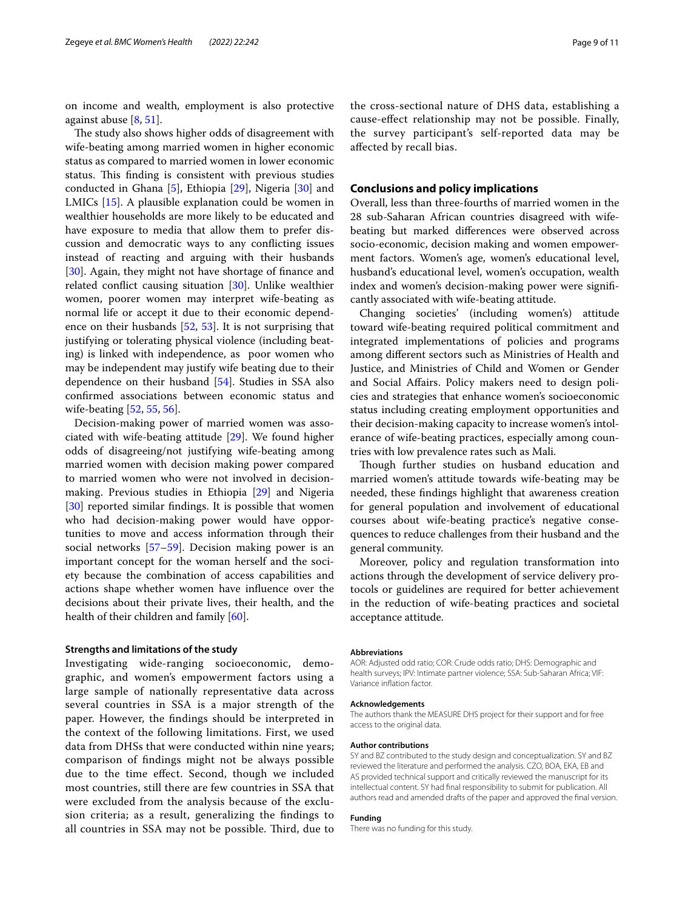on income and wealth, employment is also protective against abuse [[8](#page-9-6), [51\]](#page-10-17).

The study also shows higher odds of disagreement with wife-beating among married women in higher economic status as compared to married women in lower economic status. This finding is consistent with previous studies conducted in Ghana [[5](#page-9-23)], Ethiopia [\[29](#page-9-24)], Nigeria [[30\]](#page-9-27) and LMICs [[15\]](#page-9-10). A plausible explanation could be women in wealthier households are more likely to be educated and have exposure to media that allow them to prefer discussion and democratic ways to any conficting issues instead of reacting and arguing with their husbands [[30\]](#page-9-27). Again, they might not have shortage of finance and related confict causing situation [\[30\]](#page-9-27). Unlike wealthier women, poorer women may interpret wife-beating as normal life or accept it due to their economic dependence on their husbands [[52,](#page-10-18) [53](#page-10-19)]. It is not surprising that justifying or tolerating physical violence (including beating) is linked with independence, as poor women who may be independent may justify wife beating due to their dependence on their husband [\[54\]](#page-10-20). Studies in SSA also confrmed associations between economic status and wife-beating [\[52,](#page-10-18) [55](#page-10-21), [56\]](#page-10-22).

Decision-making power of married women was associated with wife-beating attitude [\[29\]](#page-9-24). We found higher odds of disagreeing/not justifying wife-beating among married women with decision making power compared to married women who were not involved in decisionmaking. Previous studies in Ethiopia [[29](#page-9-24)] and Nigeria [[30\]](#page-9-27) reported similar findings. It is possible that women who had decision-making power would have opportunities to move and access information through their social networks [[57](#page-10-23)[–59](#page-10-24)]. Decision making power is an important concept for the woman herself and the society because the combination of access capabilities and actions shape whether women have infuence over the decisions about their private lives, their health, and the health of their children and family [\[60](#page-10-25)].

## **Strengths and limitations of the study**

Investigating wide-ranging socioeconomic, demographic, and women's empowerment factors using a large sample of nationally representative data across several countries in SSA is a major strength of the paper. However, the fndings should be interpreted in the context of the following limitations. First, we used data from DHSs that were conducted within nine years; comparison of fndings might not be always possible due to the time efect. Second, though we included most countries, still there are few countries in SSA that were excluded from the analysis because of the exclusion criteria; as a result, generalizing the fndings to all countries in SSA may not be possible. Third, due to

the cross-sectional nature of DHS data, establishing a cause-efect relationship may not be possible. Finally, the survey participant's self-reported data may be afected by recall bias.

## **Conclusions and policy implications**

Overall, less than three-fourths of married women in the 28 sub-Saharan African countries disagreed with wifebeating but marked diferences were observed across socio-economic, decision making and women empowerment factors. Women's age, women's educational level, husband's educational level, women's occupation, wealth index and women's decision-making power were signifcantly associated with wife-beating attitude.

Changing societies' (including women's) attitude toward wife-beating required political commitment and integrated implementations of policies and programs among diferent sectors such as Ministries of Health and Justice, and Ministries of Child and Women or Gender and Social Afairs. Policy makers need to design policies and strategies that enhance women's socioeconomic status including creating employment opportunities and their decision-making capacity to increase women's intolerance of wife-beating practices, especially among countries with low prevalence rates such as Mali.

Though further studies on husband education and married women's attitude towards wife-beating may be needed, these fndings highlight that awareness creation for general population and involvement of educational courses about wife-beating practice's negative consequences to reduce challenges from their husband and the general community.

Moreover, policy and regulation transformation into actions through the development of service delivery protocols or guidelines are required for better achievement in the reduction of wife-beating practices and societal acceptance attitude.

#### **Abbreviations**

AOR: Adjusted odd ratio; COR: Crude odds ratio; DHS: Demographic and health surveys; IPV: Intimate partner violence; SSA: Sub-Saharan Africa; VIF: Variance infation factor.

#### **Acknowledgements**

The authors thank the MEASURE DHS project for their support and for free access to the original data

#### **Author contributions**

SY and BZ contributed to the study design and conceptualization. SY and BZ reviewed the literature and performed the analysis. CZO, BOA, EKA, EB and AS provided technical support and critically reviewed the manuscript for its intellectual content. SY had fnal responsibility to submit for publication. All authors read and amended drafts of the paper and approved the fnal version.

#### **Funding**

There was no funding for this study.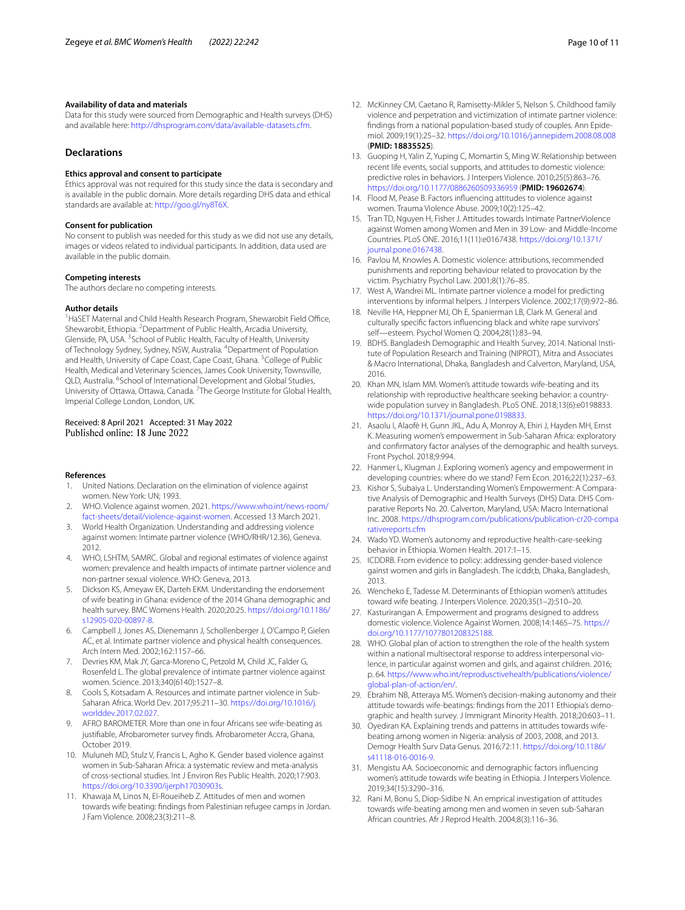### **Availability of data and materials**

Data for this study were sourced from Demographic and Health surveys (DHS) and available here: [http://dhsprogram.com/data/available-datasets.cfm.](http://dhsprogram.com/data/available-datasets.cfm)

## **Declarations**

### **Ethics approval and consent to participate**

Ethics approval was not required for this study since the data is secondary and is available in the public domain. More details regarding DHS data and ethical standards are available at: [http://goo.gl/ny8T6X.](http://goo.gl/ny8T6X)

#### **Consent for publication**

No consent to publish was needed for this study as we did not use any details, images or videos related to individual participants. In addition, data used are available in the public domain.

#### **Competing interests**

The authors declare no competing interests.

### **Author details**

<sup>1</sup> HaSET Maternal and Child Health Research Program, Shewarobit Field Office, Shewarobit, Ethiopia. <sup>2</sup> Department of Public Health, Arcadia University, Glenside, PA, USA. <sup>3</sup> School of Public Health, Faculty of Health, University of Technology Sydney, Sydney, NSW, Australia. <sup>4</sup>Department of Population and Health, University of Cape Coast, Cape Coast, Ghana. <sup>5</sup>College of Public Health, Medical and Veterinary Sciences, James Cook University, Townsville, QLD, Australia. <sup>6</sup>School of International Development and Global Studies, University of Ottawa, Ottawa, Canada. <sup>7</sup>The George Institute for Global Health, Imperial College London, London, UK.

## Received: 8 April 2021 Accepted: 31 May 2022 Published online: 18 June 2022

### **References**

- <span id="page-9-0"></span>1. United Nations. Declaration on the elimination of violence against women. New York: UN; 1993.
- <span id="page-9-2"></span>2. WHO. Violence against women. 2021. [https://www.who.int/news-room/](https://www.who.int/news-room/fact-sheets/detail/violence-against-women) [fact-sheets/detail/violence-against-women.](https://www.who.int/news-room/fact-sheets/detail/violence-against-women) Accessed 13 March 2021.
- <span id="page-9-3"></span>3. World Health Organization. Understanding and addressing violence against women: Intimate partner violence (WHO/RHR/12.36), Geneva. 2012.
- <span id="page-9-1"></span>4. WHO, LSHTM, SAMRC. Global and regional estimates of violence against women: prevalence and health impacts of intimate partner violence and non-partner sexual violence. WHO: Geneva, 2013.
- <span id="page-9-23"></span>5. Dickson KS, Ameyaw EK, Darteh EKM. Understanding the endorsement of wife beating in Ghana: evidence of the 2014 Ghana demographic and health survey. BMC Womens Health. 2020;20:25. [https://doi.org/10.1186/](https://doi.org/10.1186/s12905-020-00897-8) [s12905-020-00897-8](https://doi.org/10.1186/s12905-020-00897-8).
- <span id="page-9-4"></span>6. Campbell J, Jones AS, Dienemann J, Schollenberger J, O'Campo P, Gielen AC, et al. Intimate partner violence and physical health consequences. Arch Intern Med. 2002;162:1157–66.
- <span id="page-9-5"></span>7. Devries KM, Mak JY, Garca-Moreno C, Petzold M, Child JC, Falder G, Rosenfeld L. The global prevalence of intimate partner violence against women. Science. 2013;340(6140):1527–8.
- <span id="page-9-6"></span>8. Cools S, Kotsadam A. Resources and intimate partner violence in Sub-Saharan Africa. World Dev. 2017;95:211–30. [https://doi.org/10.1016/j.](https://doi.org/10.1016/j.worlddev.2017.02.027) [worlddev.2017.02.027.](https://doi.org/10.1016/j.worlddev.2017.02.027)
- <span id="page-9-7"></span>9. AFRO BAROMETER. More than one in four Africans see wife-beating as justifable, Afrobarometer survey fnds. Afrobarometer Accra, Ghana, October 2019.
- <span id="page-9-8"></span>10. Muluneh MD, Stulz V, Francis L, Agho K. Gender based violence against women in Sub-Saharan Africa: a systematic review and meta-analysis of cross-sectional studies. Int J Environ Res Public Health. 2020;17:903. [https://doi.org/10.3390/ijerph17030903s.](https://doi.org/10.3390/ijerph17030903s)
- <span id="page-9-9"></span>11. Khawaja M, Linos N, El-Roueiheb Z. Attitudes of men and women towards wife beating: fndings from Palestinian refugee camps in Jordan. J Fam Violence. 2008;23(3):211–8.
- 12. McKinney CM, Caetano R, Ramisetty-Mikler S, Nelson S. Childhood family violence and perpetration and victimization of intimate partner violence: findings from a national population-based study of couples. Ann Epidemiol. 2009;19(1):25–32.<https://doi.org/10.1016/j.annepidem.2008.08.008> (**PMID: 18835525**).
- 13. Guoping H, Yalin Z, Yuping C, Momartin S, Ming W. Relationship between recent life events, social supports, and attitudes to domestic violence: predictive roles in behaviors. J Interpers Violence. 2010;25(5):863–76. <https://doi.org/10.1177/0886260509336959> (**PMID: 19602674**).
- 14. Flood M, Pease B. Factors infuencing attitudes to violence against women. Trauma Violence Abuse. 2009;10(2):125–42.
- <span id="page-9-10"></span>15. Tran TD, Nguyen H, Fisher J. Attitudes towards Intimate PartnerViolence against Women among Women and Men in 39 Low- and Middle-Income Countries. PLoS ONE. 2016;11(11):e0167438. [https://doi.org/10.1371/](https://doi.org/10.1371/journal.pone.0167438) [journal.pone.0167438](https://doi.org/10.1371/journal.pone.0167438).
- <span id="page-9-11"></span>16. Pavlou M, Knowles A. Domestic violence: attributions, recommended punishments and reporting behaviour related to provocation by the victim. Psychiatry Psychol Law. 2001;8(1):76–85.
- <span id="page-9-12"></span>17. West A, Wandrei ML. Intimate partner violence a model for predicting interventions by informal helpers. J Interpers Violence. 2002;17(9):972–86.
- <span id="page-9-13"></span>18. Neville HA, Heppner MJ, Oh E, Spanierman LB, Clark M. General and culturally specifc factors infuencing black and white rape survivors' self—esteem. Psychol Women Q. 2004;28(1):83–94.
- <span id="page-9-14"></span>19. BDHS. Bangladesh Demographic and Health Survey, 2014. National Institute of Population Research and Training (NIPROT), Mitra and Associates & Macro International, Dhaka, Bangladesh and Calverton, Maryland, USA, 2016.
- <span id="page-9-15"></span>20. Khan MN, Islam MM. Women's attitude towards wife-beating and its relationship with reproductive healthcare seeking behavior: a countrywide population survey in Bangladesh. PLoS ONE. 2018;13(6):e0198833. <https://doi.org/10.1371/journal.pone.0198833>.
- <span id="page-9-16"></span>21. Asaolu I, Alaofè H, Gunn JKL, Adu A, Monroy A, Ehiri J, Hayden MH, Ernst K. Measuring women's empowerment in Sub-Saharan Africa: exploratory and confrmatory factor analyses of the demographic and health surveys. Front Psychol. 2018;9:994.
- 22. Hanmer L, Klugman J. Exploring women's agency and empowerment in developing countries: where do we stand? Fem Econ. 2016;22(1):237–63.
- <span id="page-9-17"></span>23. Kishor S, Subaiya L. Understanding Women's Empowerment: A Comparative Analysis of Demographic and Health Surveys (DHS) Data. DHS Comparative Reports No. 20. Calverton, Maryland, USA: Macro International Inc. 2008. [https://dhsprogram.com/publications/publication-cr20-compa](https://dhsprogram.com/publications/publication-cr20-comparativereports.cfm) [rativereports.cfm](https://dhsprogram.com/publications/publication-cr20-comparativereports.cfm)
- <span id="page-9-18"></span>24. Wado YD. Women's autonomy and reproductive health-care-seeking behavior in Ethiopia. Women Health. 2017:1–15.
- <span id="page-9-19"></span>25. ICDDRB. From evidence to policy: addressing gender-based violence gainst women and girls in Bangladesh. The icddr,b, Dhaka, Bangladesh, 2013.
- <span id="page-9-20"></span>26. Wencheko E, Tadesse M. Determinants of Ethiopian women's attitudes toward wife beating. J Interpers Violence. 2020;35(1–2):510–20.
- <span id="page-9-21"></span>27. Kasturirangan A. Empowerment and programs designed to address domestic violence. Violence Against Women. 2008;14:1465–75. [https://](https://doi.org/10.1177/1077801208325188) [doi.org/10.1177/1077801208325188.](https://doi.org/10.1177/1077801208325188)
- <span id="page-9-22"></span>28. WHO. Global plan of action to strengthen the role of the health system within a national multisectoral response to address interpersonal violence, in particular against women and girls, and against children. 2016; p. 64. [https://www.who.int/reprodusctivehealth/publications/violence/](https://www.who.int/reprodusctivehealth/publications/violence/global-plan-of-action/en/) [global-plan-of-action/en/](https://www.who.int/reprodusctivehealth/publications/violence/global-plan-of-action/en/).
- <span id="page-9-24"></span>29. Ebrahim NB, Atteraya MS. Women's decision-making autonomy and their attitude towards wife-beatings: findings from the 2011 Ethiopia's demographic and health survey. J Immigrant Minority Health. 2018;20:603–11.
- <span id="page-9-27"></span>30. Oyediran KA. Explaining trends and patterns in attitudes towards wifebeating among women in Nigeria: analysis of 2003, 2008, and 2013. Demogr Health Surv Data Genus. 2016;72:11. [https://doi.org/10.1186/](https://doi.org/10.1186/s41118-016-0016-9) [s41118-016-0016-9.](https://doi.org/10.1186/s41118-016-0016-9)
- <span id="page-9-26"></span>31. Mengistu AA. Socioeconomic and demographic factors infuencing women's attitude towards wife beating in Ethiopia. J Interpers Violence. 2019;34(15):3290–316.
- <span id="page-9-25"></span>32. Rani M, Bonu S, Diop-Sidibe N. An emprical investigation of attitudes towards wife-beating among men and women in seven sub-Saharan African countries. Afr J Reprod Health. 2004;8(3):116–36.